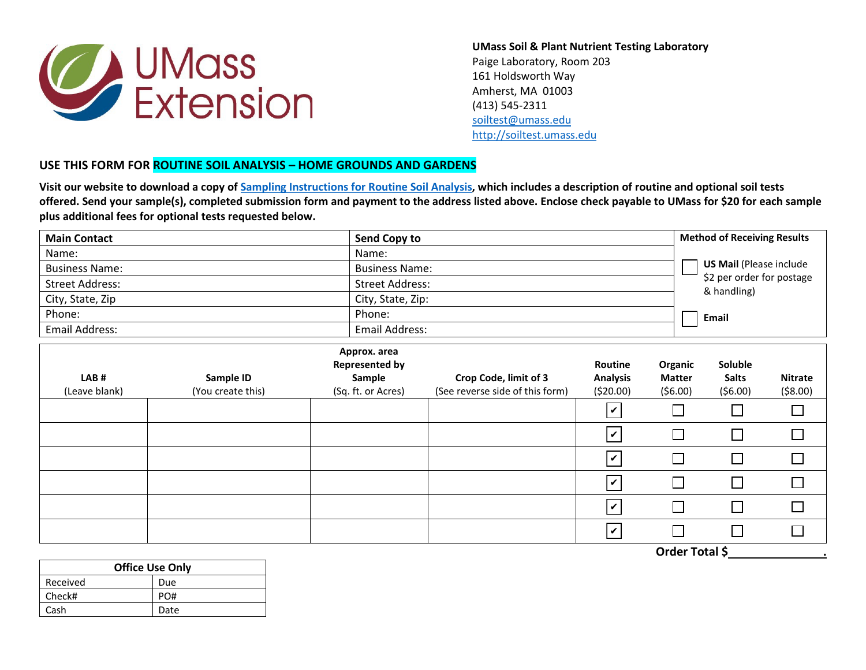

**UMass Soil & Plant Nutrient Testing Laboratory** Paige Laboratory, Room 203 161 Holdsworth Way Amherst, MA 01003 (413) 545-2311 [soiltest@umass.edu](mailto:soiltest@umass.edu) [http://soiltest.umass.edu](http://soiltest.umass.edu/)

## **USE THIS FORM FOR ROUTINE SOIL ANALYSIS – HOME GROUNDS AND GARDENS**

**Visit our website to download a copy of [Sampling Instructions for Routine Soil Analysis,](http://ag.umass.edu/soil-plant-nutrient-testing-laboratory/fact-sheets/sampling-instructions-for-routine-soil-analysis) which includes a description of routine and optional soil tests offered. Send your sample(s), completed submission form and payment to the address listed above. Enclose check payable to UMass for \$20 for each sample plus additional fees for optional tests requested below.**

| <b>Main Contact</b>    |                       | Send Copy to          |                                 |                                          |               | <b>Method of Receiving Results</b>                                                         |                |  |
|------------------------|-----------------------|-----------------------|---------------------------------|------------------------------------------|---------------|--------------------------------------------------------------------------------------------|----------------|--|
| Name:                  |                       | Name:                 |                                 |                                          |               |                                                                                            |                |  |
| <b>Business Name:</b>  |                       |                       | <b>Business Name:</b>           |                                          |               | <b>US Mail (Please include</b><br>\$2 per order for postage<br>& handling)<br><b>Email</b> |                |  |
| <b>Street Address:</b> |                       |                       | <b>Street Address:</b>          |                                          |               |                                                                                            |                |  |
| City, State, Zip       |                       |                       | City, State, Zip:               |                                          |               |                                                                                            |                |  |
| Phone:                 |                       | Phone:                |                                 |                                          |               |                                                                                            |                |  |
| Email Address:         |                       | <b>Email Address:</b> |                                 |                                          |               |                                                                                            |                |  |
|                        |                       | Approx. area          |                                 |                                          |               |                                                                                            |                |  |
|                        | <b>Represented by</b> |                       |                                 | Routine                                  | Organic       | Soluble                                                                                    |                |  |
| LAB#                   | Sample ID             | Sample                | Crop Code, limit of 3           | <b>Analysis</b>                          | <b>Matter</b> | <b>Salts</b>                                                                               | <b>Nitrate</b> |  |
| (Leave blank)          | (You create this)     | (Sq. ft. or Acres)    | (See reverse side of this form) | (520.00)                                 | (56.00)       | (56.00)                                                                                    | (58.00)        |  |
|                        |                       |                       |                                 | $\boldsymbol{ } \boldsymbol{\mathit{v}}$ |               |                                                                                            |                |  |
|                        |                       |                       |                                 | $\overline{\mathsf{v}}$                  |               |                                                                                            |                |  |

|  |  | $\vert \mathbf{v} \vert$ | $\Box$ |                         |  |
|--|--|--------------------------|--------|-------------------------|--|
|  |  | $\vert \mathbf{v} \vert$ | $\Box$ |                         |  |
|  |  | $\vert \mathbf{v} \vert$ | $\Box$ |                         |  |
|  |  |                          | $\Box$ | the control of the con- |  |

**Office Use Only** Received Due Check# PO# Cash Date

**Order Total \$ .**